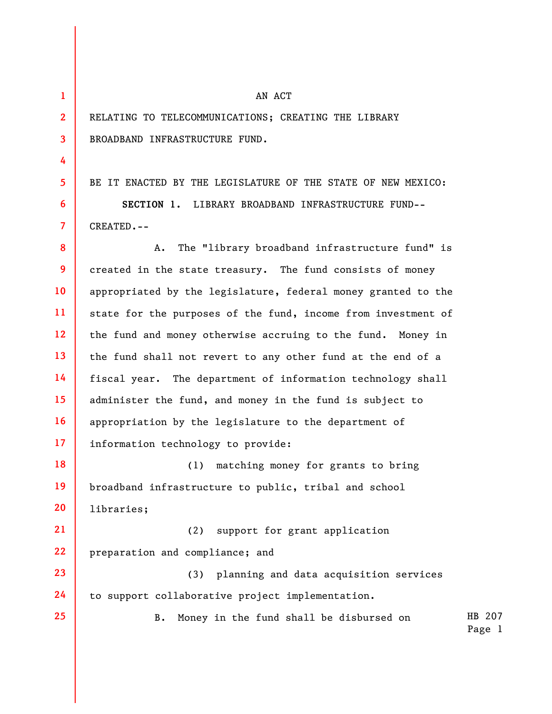**1 2** 

**3** 

**4** 

**5** 

**6** 

**7** 

**25** 

## AN ACT

RELATING TO TELECOMMUNICATIONS; CREATING THE LIBRARY BROADBAND INFRASTRUCTURE FUND.

BE IT ENACTED BY THE LEGISLATURE OF THE STATE OF NEW MEXICO: **SECTION 1.** LIBRARY BROADBAND INFRASTRUCTURE FUND-- CREATED.--

**8 9 10 11 12 13 14 15 16 17**  A. The "library broadband infrastructure fund" is created in the state treasury. The fund consists of money appropriated by the legislature, federal money granted to the state for the purposes of the fund, income from investment of the fund and money otherwise accruing to the fund. Money in the fund shall not revert to any other fund at the end of a fiscal year. The department of information technology shall administer the fund, and money in the fund is subject to appropriation by the legislature to the department of information technology to provide:

**18 19 20**  (1) matching money for grants to bring broadband infrastructure to public, tribal and school libraries;

**21 22**  (2) support for grant application preparation and compliance; and

**23 24**  (3) planning and data acquisition services to support collaborative project implementation.

> HB 207 B. Money in the fund shall be disbursed on

Page 1